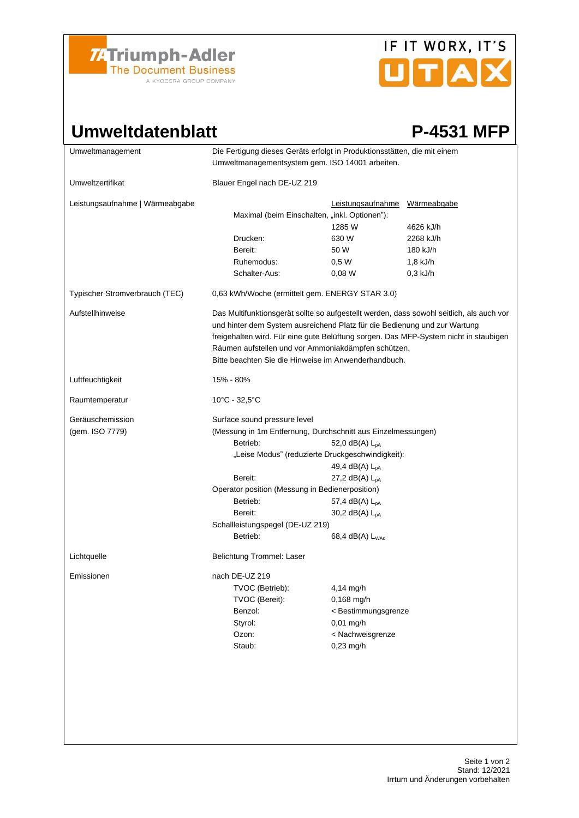

# IF IT WORX, IT'S UTAX

### Umweltdatenblatt P-4531 MFP

| Die Fertigung dieses Geräts erfolgt in Produktionsstätten, die mit einem<br>Umweltmanagementsystem gem. ISO 14001 arbeiten.                                                                                                                                                                                                                                                  |                                                                         |                                                                                                                                                            |
|------------------------------------------------------------------------------------------------------------------------------------------------------------------------------------------------------------------------------------------------------------------------------------------------------------------------------------------------------------------------------|-------------------------------------------------------------------------|------------------------------------------------------------------------------------------------------------------------------------------------------------|
| Blauer Engel nach DE-UZ 219                                                                                                                                                                                                                                                                                                                                                  |                                                                         |                                                                                                                                                            |
|                                                                                                                                                                                                                                                                                                                                                                              | 1285 W                                                                  | 4626 kJ/h                                                                                                                                                  |
|                                                                                                                                                                                                                                                                                                                                                                              |                                                                         | 2268 kJ/h                                                                                                                                                  |
| Bereit:                                                                                                                                                                                                                                                                                                                                                                      | 50 W                                                                    | 180 kJ/h                                                                                                                                                   |
| Ruhemodus:                                                                                                                                                                                                                                                                                                                                                                   |                                                                         | $1,8$ kJ/h                                                                                                                                                 |
| Schalter-Aus:                                                                                                                                                                                                                                                                                                                                                                | 0,08 W                                                                  | $0,3$ kJ/h                                                                                                                                                 |
| 0,63 kWh/Woche (ermittelt gem. ENERGY STAR 3.0)                                                                                                                                                                                                                                                                                                                              |                                                                         |                                                                                                                                                            |
| Das Multifunktionsgerät sollte so aufgestellt werden, dass sowohl seitlich, als auch vor<br>und hinter dem System ausreichend Platz für die Bedienung und zur Wartung<br>freigehalten wird. Für eine gute Belüftung sorgen. Das MFP-System nicht in staubigen<br>Räumen aufstellen und vor Ammoniakdämpfen schützen.<br>Bitte beachten Sie die Hinweise im Anwenderhandbuch. |                                                                         |                                                                                                                                                            |
| 15% - 80%                                                                                                                                                                                                                                                                                                                                                                    |                                                                         |                                                                                                                                                            |
| $10^{\circ}$ C - 32,5 $^{\circ}$ C                                                                                                                                                                                                                                                                                                                                           |                                                                         |                                                                                                                                                            |
| Surface sound pressure level<br>(Messung in 1m Entfernung, Durchschnitt aus Einzelmessungen)<br>Betrieb:<br>52,0 dB(A) $L_{DA}$<br>"Leise Modus" (reduzierte Druckgeschwindigkeit):<br>49,4 dB(A) $L_{pA}$<br>Bereit:<br>27,2 dB(A) $L_{pA}$<br>Operator position (Messung in Bedienerposition)                                                                              |                                                                         |                                                                                                                                                            |
| Betrieb:                                                                                                                                                                                                                                                                                                                                                                     | 57,4 dB(A) $L_{pA}$                                                     |                                                                                                                                                            |
| Bereit:                                                                                                                                                                                                                                                                                                                                                                      | 30,2 dB(A) $L_{pA}$                                                     |                                                                                                                                                            |
|                                                                                                                                                                                                                                                                                                                                                                              |                                                                         |                                                                                                                                                            |
| Betrieb:                                                                                                                                                                                                                                                                                                                                                                     | 68,4 dB(A) L <sub>WAd</sub>                                             |                                                                                                                                                            |
| Belichtung Trommel: Laser                                                                                                                                                                                                                                                                                                                                                    |                                                                         |                                                                                                                                                            |
| nach DE-UZ 219<br>TVOC (Betrieb):<br>TVOC (Bereit):<br>Benzol:<br>Styrol:<br>Ozon:<br>Staub:                                                                                                                                                                                                                                                                                 | 4,14 mg/h<br>0,168 mg/h<br>$0,01$ mg/h<br>< Nachweisgrenze<br>0,23 mg/h |                                                                                                                                                            |
|                                                                                                                                                                                                                                                                                                                                                                              | Drucken:                                                                | Leistungsaufnahme Wärmeabgabe<br>Maximal (beim Einschalten, "inkl. Optionen"):<br>630 W<br>0,5W<br>Schallleistungspegel (DE-UZ 219)<br>< Bestimmungsgrenze |